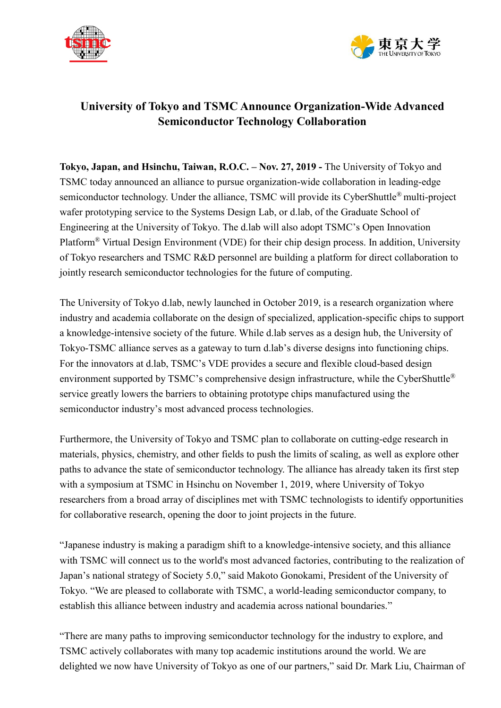



## **University of Tokyo and TSMC Announce Organization-Wide Advanced Semiconductor Technology Collaboration**

**Tokyo, Japan, and Hsinchu, Taiwan, R.O.C. – Nov. 27, 2019 -** The University of Tokyo and TSMC today announced an alliance to pursue organization-wide collaboration in leading-edge semiconductor technology. Under the alliance, TSMC will provide its CyberShuttle<sup>®</sup> multi-project wafer prototyping service to the Systems Design Lab, or d.lab, of the Graduate School of Engineering at the University of Tokyo. The d.lab will also adopt TSMC's Open Innovation Platform® Virtual Design Environment (VDE) for their chip design process. In addition, University of Tokyo researchers and TSMC R&D personnel are building a platform for direct collaboration to jointly research semiconductor technologies for the future of computing.

The University of Tokyo d.lab, newly launched in October 2019, is a research organization where industry and academia collaborate on the design of specialized, application-specific chips to support a knowledge-intensive society of the future. While d.lab serves as a design hub, the University of Tokyo-TSMC alliance serves as a gateway to turn d.lab's diverse designs into functioning chips. For the innovators at d.lab, TSMC's VDE provides a secure and flexible cloud-based design environment supported by TSMC's comprehensive design infrastructure, while the CyberShuttle<sup>®</sup> service greatly lowers the barriers to obtaining prototype chips manufactured using the semiconductor industry's most advanced process technologies.

Furthermore, the University of Tokyo and TSMC plan to collaborate on cutting-edge research in materials, physics, chemistry, and other fields to push the limits of scaling, as well as explore other paths to advance the state of semiconductor technology. The alliance has already taken its first step with a symposium at TSMC in Hsinchu on November 1, 2019, where University of Tokyo researchers from a broad array of disciplines met with TSMC technologists to identify opportunities for collaborative research, opening the door to joint projects in the future.

"Japanese industry is making a paradigm shift to a knowledge-intensive society, and this alliance with TSMC will connect us to the world's most advanced factories, contributing to the realization of Japan's national strategy of Society 5.0," said Makoto Gonokami, President of the University of Tokyo. "We are pleased to collaborate with TSMC, a world-leading semiconductor company, to establish this alliance between industry and academia across national boundaries."

"There are many paths to improving semiconductor technology for the industry to explore, and TSMC actively collaborates with many top academic institutions around the world. We are delighted we now have University of Tokyo as one of our partners," said Dr. Mark Liu, Chairman of